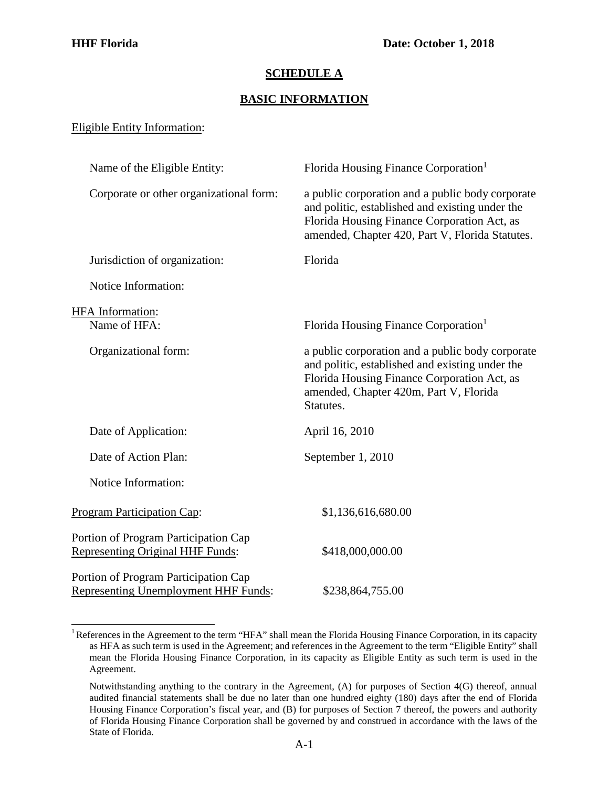## **SCHEDULE A**

## **BASIC INFORMATION**

## Eligible Entity Information:

| Name of the Eligible Entity:                                                        | Florida Housing Finance Corporation <sup>1</sup>                                                                                                                                                          |
|-------------------------------------------------------------------------------------|-----------------------------------------------------------------------------------------------------------------------------------------------------------------------------------------------------------|
| Corporate or other organizational form:                                             | a public corporation and a public body corporate<br>and politic, established and existing under the<br>Florida Housing Finance Corporation Act, as<br>amended, Chapter 420, Part V, Florida Statutes.     |
| Jurisdiction of organization:                                                       | Florida                                                                                                                                                                                                   |
| Notice Information:                                                                 |                                                                                                                                                                                                           |
|                                                                                     |                                                                                                                                                                                                           |
| <b>HFA</b> Information:<br>Name of HFA:                                             | Florida Housing Finance Corporation <sup>1</sup>                                                                                                                                                          |
| Organizational form:                                                                | a public corporation and a public body corporate<br>and politic, established and existing under the<br>Florida Housing Finance Corporation Act, as<br>amended, Chapter 420m, Part V, Florida<br>Statutes. |
| Date of Application:                                                                | April 16, 2010                                                                                                                                                                                            |
| Date of Action Plan:                                                                | September 1, 2010                                                                                                                                                                                         |
| Notice Information:                                                                 |                                                                                                                                                                                                           |
| <b>Program Participation Cap:</b>                                                   | \$1,136,616,680.00                                                                                                                                                                                        |
| Portion of Program Participation Cap<br><b>Representing Original HHF Funds:</b>     | \$418,000,000.00                                                                                                                                                                                          |
| Portion of Program Participation Cap<br><b>Representing Unemployment HHF Funds:</b> | \$238,864,755.00                                                                                                                                                                                          |

<span id="page-0-0"></span><sup>&</sup>lt;sup>1</sup> References in the Agreement to the term "HFA" shall mean the Florida Housing Finance Corporation, in its capacity as HFA as such term is used in the Agreement; and references in the Agreement to the term "Eligible Entity" shall mean the Florida Housing Finance Corporation, in its capacity as Eligible Entity as such term is used in the Agreement.

Notwithstanding anything to the contrary in the Agreement, (A) for purposes of Section 4(G) thereof, annual audited financial statements shall be due no later than one hundred eighty (180) days after the end of Florida Housing Finance Corporation's fiscal year, and (B) for purposes of Section 7 thereof, the powers and authority of Florida Housing Finance Corporation shall be governed by and construed in accordance with the laws of the State of Florida.